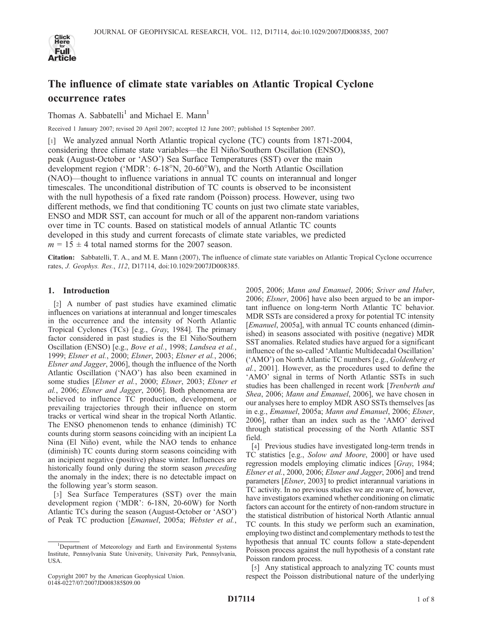

# The influence of climate state variables on Atlantic Tropical Cyclone occurrence rates

Thomas A. Sabbatelli<sup>1</sup> and Michael E. Mann<sup>1</sup>

Received 1 January 2007; revised 20 April 2007; accepted 12 June 2007; published 15 September 2007.

[1] We analyzed annual North Atlantic tropical cyclone (TC) counts from 1871-2004, considering three climate state variables—the El Nin˜o/Southern Oscillation (ENSO), peak (August-October or 'ASO') Sea Surface Temperatures (SST) over the main development region ('MDR':  $6-18^{\circ}N$ ,  $20-60^{\circ}W$ ), and the North Atlantic Oscillation (NAO)—thought to influence variations in annual TC counts on interannual and longer timescales. The unconditional distribution of TC counts is observed to be inconsistent with the null hypothesis of a fixed rate random (Poisson) process. However, using two different methods, we find that conditioning TC counts on just two climate state variables, ENSO and MDR SST, can account for much or all of the apparent non-random variations over time in TC counts. Based on statistical models of annual Atlantic TC counts developed in this study and current forecasts of climate state variables, we predicted  $m = 15 \pm 4$  total named storms for the 2007 season.

Citation: Sabbatelli, T. A., and M. E. Mann (2007), The influence of climate state variables on Atlantic Tropical Cyclone occurrence rates, J. Geophys. Res., 112, D17114, doi:10.1029/2007JD008385.

# 1. Introduction

[2] A number of past studies have examined climatic influences on variations at interannual and longer timescales in the occurrence and the intensity of North Atlantic Tropical Cyclones (TCs) [e.g., Gray, 1984]. The primary factor considered in past studies is the El Niño/Southern Oscillation (ENSO) [e.g., Bove et al., 1998; Landsea et al., 1999; Elsner et al., 2000; Elsner, 2003; Elsner et al., 2006; Elsner and Jagger, 2006], though the influence of the North Atlantic Oscillation ('NAO') has also been examined in some studies [Elsner et al., 2000; Elsner, 2003; Elsner et al., 2006; Elsner and Jagger, 2006]. Both phenomena are believed to influence TC production, development, or prevailing trajectories through their influence on storm tracks or vertical wind shear in the tropical North Atlantic. The ENSO phenomenon tends to enhance (diminish) TC counts during storm seasons coinciding with an incipient La Nina (El Niño) event, while the NAO tends to enhance (diminish) TC counts during storm seasons coinciding with an incipient negative (positive) phase winter. Influences are historically found only during the storm season *preceding* the anomaly in the index; there is no detectable impact on the following year's storm season.

[3] Sea Surface Temperatures (SST) over the main development region ('MDR': 6-18N, 20-60W) for North Atlantic TCs during the season (August-October or 'ASO') of Peak TC production [Emanuel, 2005a; Webster et al.,

2005, 2006; Mann and Emanuel, 2006; Sriver and Huber, 2006; *Elsner*, 2006] have also been argued to be an important influence on long-term North Atlantic TC behavior. MDR SSTs are considered a proxy for potential TC intensity [Emanuel, 2005a], with annual TC counts enhanced (diminished) in seasons associated with positive (negative) MDR SST anomalies. Related studies have argued for a significant influence of the so-called 'Atlantic Multidecadal Oscillation' ('AMO') on North Atlantic TC numbers [e.g., Goldenberg et al., 2001]. However, as the procedures used to define the 'AMO' signal in terms of North Atlantic SSTs in such studies has been challenged in recent work [Trenberth and Shea, 2006; Mann and Emanuel, 2006], we have chosen in our analyses here to employ MDR ASO SSTs themselves [as in e.g., Emanuel, 2005a; Mann and Emanuel, 2006; Elsner, 2006], rather than an index such as the 'AMO' derived through statistical processing of the North Atlantic SST field.

[4] Previous studies have investigated long-term trends in TC statistics [e.g., Solow and Moore, 2000] or have used regression models employing climatic indices [Gray, 1984; Elsner et al., 2000, 2006; Elsner and Jagger, 2006] and trend parameters [Elsner, 2003] to predict interannual variations in TC activity. In no previous studies we are aware of, however, have investigators examined whether conditioning on climatic factors can account for the entirety of non-random structure in the statistical distribution of historical North Atlantic annual TC counts. In this study we perform such an examination, employing two distinct and complementary methods to test the hypothesis that annual TC counts follow a state-dependent Poisson process against the null hypothesis of a constant rate Poisson random process.

[5] Any statistical approach to analyzing TC counts must respect the Poisson distributional nature of the underlying

<sup>&</sup>lt;sup>1</sup>Department of Meteorology and Earth and Environmental Systems Institute, Pennsylvania State University, University Park, Pennsylvania, USA.

Copyright 2007 by the American Geophysical Union. 0148-0227/07/2007JD008385\$09.00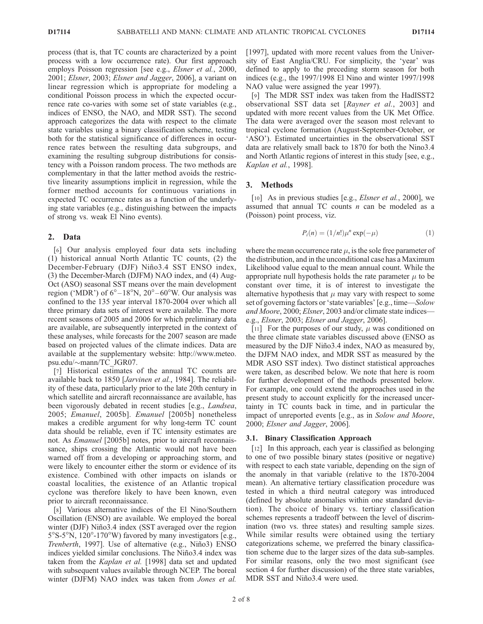process (that is, that TC counts are characterized by a point process with a low occurrence rate). Our first approach employs Poisson regression [see e.g., *Elsner et al.*, 2000, 2001; Elsner, 2003; Elsner and Jagger, 2006], a variant on linear regression which is appropriate for modeling a conditional Poisson process in which the expected occurrence rate co-varies with some set of state variables (e.g., indices of ENSO, the NAO, and MDR SST). The second approach categorizes the data with respect to the climate state variables using a binary classification scheme, testing both for the statistical significance of differences in occurrence rates between the resulting data subgroups, and examining the resulting subgroup distributions for consistency with a Poisson random process. The two methods are complementary in that the latter method avoids the restrictive linearity assumptions implicit in regression, while the former method accounts for continuous variations in expected TC occurrence rates as a function of the underlying state variables (e.g., distinguishing between the impacts of strong vs. weak El Nino events).

# 2. Data

[6] Our analysis employed four data sets including (1) historical annual North Atlantic TC counts, (2) the December-February (DJF) Niño3.4 SST ENSO index, (3) the December-March (DJFM) NAO index, and (4) Aug-Oct (ASO) seasonal SST means over the main development region ('MDR') of  $6^{\circ}$ –18°N,  $20^{\circ}$ –60°W. Our analysis was confined to the 135 year interval 1870-2004 over which all three primary data sets of interest were available. The more recent seasons of 2005 and 2006 for which preliminary data are available, are subsequently interpreted in the context of these analyses, while forecasts for the 2007 season are made based on projected values of the climate indices. Data are available at the supplementary website: http://www.meteo. psu.edu/~mann/TC\_JGR07.

[7] Historical estimates of the annual TC counts are available back to 1850 [Jarvinen et al., 1984]. The reliability of these data, particularly prior to the late 20th century in which satellite and aircraft reconnaissance are available, has been vigorously debated in recent studies [e.g., *Landsea*, 2005; Emanuel, 2005b]. Emanuel [2005b] nonetheless makes a credible argument for why long-term TC count data should be reliable, even if TC intensity estimates are not. As Emanuel [2005b] notes, prior to aircraft reconnaissance, ships crossing the Atlantic would not have been warned off from a developing or approaching storm, and were likely to encounter either the storm or evidence of its existence. Combined with other impacts on islands or coastal localities, the existence of an Atlantic tropical cyclone was therefore likely to have been known, even prior to aircraft reconnaissance.

[8] Various alternative indices of the El Nino/Southern Oscillation (ENSO) are available. We employed the boreal winter (DJF) Niño3.4 index (SST averaged over the region  $5^{\circ}$ S-5°N, 120°-170°W) favored by many investigators [e.g., Trenberth, 1997]. Use of alternative (e.g., Niño3) ENSO indices yielded similar conclusions. The Niño3.4 index was taken from the *Kaplan et al.* [1998] data set and updated with subsequent values available through NCEP. The boreal winter (DJFM) NAO index was taken from Jones et al. [1997], updated with more recent values from the University of East Anglia/CRU. For simplicity, the 'year' was defined to apply to the preceding storm season for both indices (e.g., the 1997/1998 El Nino and winter 1997/1998 NAO value were assigned the year 1997).

[9] The MDR SST index was taken from the HadISST2 observational SST data set [Rayner et al., 2003] and updated with more recent values from the UK Met Office. The data were averaged over the season most relevant to tropical cyclone formation (August-September-October, or 'ASO'). Estimated uncertainties in the observational SST data are relatively small back to 1870 for both the Nino3.4 and North Atlantic regions of interest in this study [see, e.g., Kaplan et al., 1998].

# 3. Methods

[10] As in previous studies [e.g., *Elsner et al.*, 2000], we assumed that annual TC counts  $n$  can be modeled as a (Poisson) point process, viz.

$$
P_i(n) = (1/n!) \mu^n \exp(-\mu) \tag{1}
$$

where the mean occurrence rate  $\mu$ , is the sole free parameter of the distribution, and in the unconditional case has a Maximum Likelihood value equal to the mean annual count. While the appropriate null hypothesis holds the rate parameter  $\mu$  to be constant over time, it is of interest to investigate the alternative hypothesis that  $\mu$  may vary with respect to some set of governing factors or 'state variables' [e.g., time—Solow and Moore, 2000; Elsner, 2003 and/or climate state indices e.g., Elsner, 2003; Elsner and Jagger, 2006].

[11] For the purposes of our study,  $\mu$  was conditioned on the three climate state variables discussed above (ENSO as measured by the DJF Niño3.4 index, NAO as measured by, the DJFM NAO index, and MDR SST as measured by the MDR ASO SST index). Two distinct statistical approaches were taken, as described below. We note that here is room for further development of the methods presented below. For example, one could extend the approaches used in the present study to account explicitly for the increased uncertainty in TC counts back in time, and in particular the impact of unreported events [e.g., as in Solow and Moore, 2000; Elsner and Jagger, 2006].

#### 3.1. Binary Classification Approach

[12] In this approach, each year is classified as belonging to one of two possible binary states (positive or negative) with respect to each state variable, depending on the sign of the anomaly in that variable (relative to the 1870-2004 mean). An alternative tertiary classification procedure was tested in which a third neutral category was introduced (defined by absolute anomalies within one standard deviation). The choice of binary vs. tertiary classification schemes represents a tradeoff between the level of discrimination (two vs. three states) and resulting sample sizes. While similar results were obtained using the tertiary categorizations scheme, we preferred the binary classification scheme due to the larger sizes of the data sub-samples. For similar reasons, only the two most significant (see section 4 for further discussion) of the three state variables, MDR SST and Niño3.4 were used.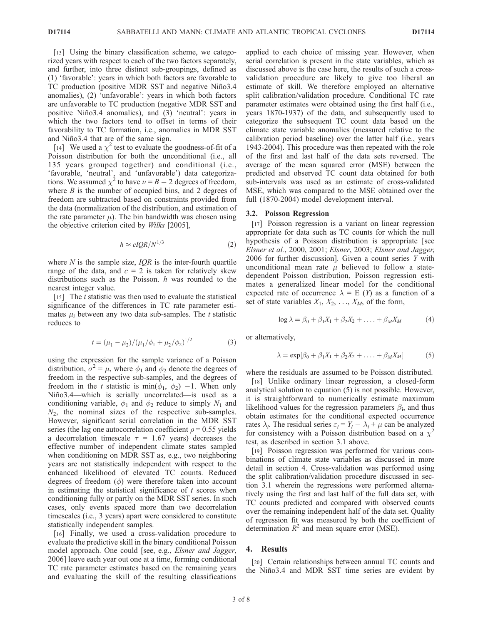[13] Using the binary classification scheme, we categorized years with respect to each of the two factors separately, and further, into three distinct sub-groupings, defined as (1) 'favorable': years in which both factors are favorable to TC production (positive MDR SST and negative Niño3.4 anomalies), (2) 'unfavorable': years in which both factors are unfavorable to TC production (negative MDR SST and positive Niño3.4 anomalies), and (3) 'neutral': years in which the two factors tend to offset in terms of their favorability to TC formation, i.e., anomalies in MDR SST and Niño3.4 that are of the same sign.

[14] We used a  $\chi^2$  test to evaluate the goodness-of-fit of a Poisson distribution for both the unconditional (i.e., all 135 years grouped together) and conditional (i.e., 'favorable, 'neutral', and 'unfavorable') data categorizations. We assumed  $\chi^2$  to have  $\nu = B - 2$  degrees of freedom, where  $B$  is the number of occupied bins, and 2 degrees of freedom are subtracted based on constraints provided from the data (normalization of the distribution, and estimation of the rate parameter  $\mu$ ). The bin bandwidth was chosen using the objective criterion cited by Wilks [2005],

$$
h \approx cIQR/N^{1/3} \tag{2}
$$

where  $N$  is the sample size,  $IQR$  is the inter-fourth quartile range of the data, and  $c = 2$  is taken for relatively skew distributions such as the Poisson.  $h$  was rounded to the nearest integer value.

[15] The t statistic was then used to evaluate the statistical significance of the differences in TC rate parameter estimates  $\mu_i$  between any two data sub-samples. The t statistic reduces to

$$
t = (\mu_1 - \mu_2) / (\mu_1 / \phi_1 + \mu_2 / \phi_2)^{1/2}
$$
 (3)

using the expression for the sample variance of a Poisson distribution,  $\sigma^2 = \mu$ , where  $\phi_1$  and  $\phi_2$  denote the degrees of freedom in the respective sub-samples, and the degrees of freedom in the t statistic is min( $\phi_1$ ,  $\phi_2$ ) -1. When only Niño3.4—which is serially uncorrelated—is used as a conditioning variable,  $\phi_1$  and  $\phi_2$  reduce to simply  $N_1$  and  $N_2$ , the nominal sizes of the respective sub-samples. However, significant serial correlation in the MDR SST series (the lag one autocorrelation coefficient  $\rho = 0.55$  yields a decorrelation timescale  $\tau = 1.67$  years) decreases the effective number of independent climate states sampled when conditioning on MDR SST as, e.g., two neighboring years are not statistically independent with respect to the enhanced likelihood of elevated TC counts. Reduced degrees of freedom  $(\phi)$  were therefore taken into account in estimating the statistical significance of  $t$  scores when conditioning fully or partly on the MDR SST series. In such cases, only events spaced more than two decorrelation timescales (i.e., 3 years) apart were considered to constitute statistically independent samples.

[16] Finally, we used a cross-validation procedure to evaluate the predictive skill in the binary conditional Poisson model approach. One could [see, e.g., Elsner and Jagger, 2006] leave each year out one at a time, forming conditional TC rate parameter estimates based on the remaining years and evaluating the skill of the resulting classifications applied to each choice of missing year. However, when serial correlation is present in the state variables, which as discussed above is the case here, the results of such a crossvalidation procedure are likely to give too liberal an estimate of skill. We therefore employed an alternative split calibration/validation procedure. Conditional TC rate parameter estimates were obtained using the first half (i.e., years 1870-1937) of the data, and subsequently used to categorize the subsequent TC count data based on the climate state variable anomalies (measured relative to the calibration period baseline) over the latter half (i.e., years 1943-2004). This procedure was then repeated with the role of the first and last half of the data sets reversed. The average of the mean squared error (MSE) between the predicted and observed TC count data obtained for both sub-intervals was used as an estimate of cross-validated MSE, which was compared to the MSE obtained over the full (1870-2004) model development interval.

#### 3.2. Poisson Regression

[17] Poisson regression is a variant on linear regression appropriate for data such as TC counts for which the null hypothesis of a Poisson distribution is appropriate [see Elsner et al., 2000, 2001; Elsner, 2003; Elsner and Jagger, 2006 for further discussion]. Given a count series Y with unconditional mean rate  $\mu$  believed to follow a statedependent Poisson distribution, Poisson regression estimates a generalized linear model for the conditional expected rate of occurrence  $\lambda = E(Y)$  as a function of a set of state variables  $X_1, X_2, \ldots, X_M$ , of the form,

$$
\log \lambda = \beta_0 + \beta_1 X_1 + \beta_2 X_2 + \ldots + \beta_M X_M \tag{4}
$$

or alternatively,

$$
\lambda = \exp[\beta_0 + \beta_1 X_1 + \beta_2 X_2 + \dots + \beta_M X_M]
$$
 (5)

where the residuals are assumed to be Poisson distributed.

[18] Unlike ordinary linear regression, a closed-form analytical solution to equation (5) is not possible. However, it is straightforward to numerically estimate maximum likelihood values for the regression parameters  $\beta_i$ , and thus obtain estimates for the conditional expected occurrence rates  $\lambda_i$ . The residual series  $\varepsilon_i = Y_i - \lambda_i + \mu$  can be analyzed for consistency with a Poisson distribution based on a  $\chi^2$ test, as described in section 3.1 above.

[19] Poisson regression was performed for various combinations of climate state variables as discussed in more detail in section 4. Cross-validation was performed using the split calibration/validation procedure discussed in section 3.1 wherein the regressions were performed alternatively using the first and last half of the full data set, with TC counts predicted and compared with observed counts over the remaining independent half of the data set. Quality of regression fit was measured by both the coefficient of determination  $R^2$  and mean square error (MSE).

## 4. Results

[20] Certain relationships between annual TC counts and the Niño3.4 and MDR SST time series are evident by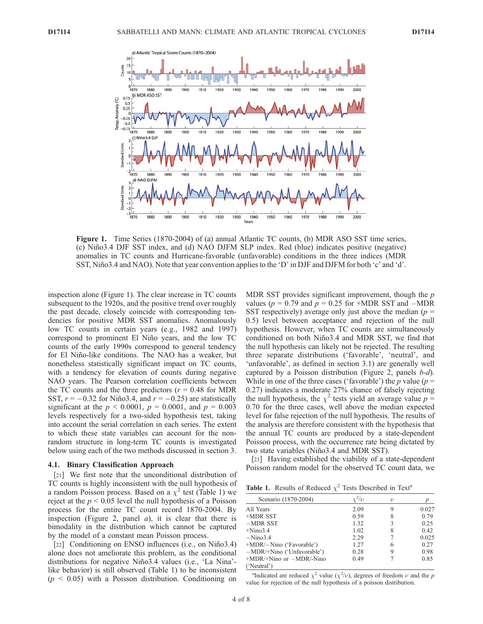

Figure 1. Time Series (1870-2004) of (a) annual Atlantic TC counts, (b) MDR ASO SST time series, (c) Nin˜o3.4 DJF SST index, and (d) NAO DJFM SLP index. Red (blue) indicates positive (negative) anomalies in TC counts and Hurricane-favorable (unfavorable) conditions in the three indices (MDR SST, Niño3.4 and NAO). Note that year convention applies to the 'D' in DJF and DJFM for both 'c' and 'd'.

inspection alone (Figure 1). The clear increase in TC counts subsequent to the 1920s, and the positive trend over roughly the past decade, closely coincide with corresponding tendencies for positive MDR SST anomalies. Anomalously low TC counts in certain years (e.g., 1982 and 1997) correspond to prominent El Niño years, and the low TC counts of the early 1990s correspond to general tendency for El Niño-like conditions. The NAO has a weaker, but nonetheless statistically significant impact on TC counts, with a tendency for elevation of counts during negative NAO years. The Pearson correlation coefficients between the TC counts and the three predictors ( $r = 0.48$  for MDR SST,  $r = -0.32$  for Niño3.4, and  $r = -0.25$ ) are statistically significant at the  $p < 0.0001$ ,  $p = 0.0001$ , and  $p = 0.003$ levels respectively for a two-sided hypothesis test, taking into account the serial correlation in each series. The extent to which these state variables can account for the nonrandom structure in long-term TC counts is investigated below using each of the two methods discussed in section 3.

#### 4.1. Binary Classification Approach

[21] We first note that the unconditional distribution of TC counts is highly inconsistent with the null hypothesis of a random Poisson process. Based on a  $\chi^2$  test (Table 1) we reject at the  $p \le 0.05$  level the null hypothesis of a Poisson process for the entire TC count record 1870-2004. By inspection (Figure 2, panel  $a$ ), it is clear that there is bimodality in the distribution which cannot be captured by the model of a constant mean Poisson process.

[22] Conditioning on ENSO influences (i.e., on Niño3.4) alone does not ameliorate this problem, as the conditional distributions for negative Niño3.4 values (i.e., 'La Nina'like behavior) is still observed (Table 1) to be inconsistent  $(p \leq 0.05)$  with a Poisson distribution. Conditioning on MDR SST provides significant improvement, though the  $p$ values ( $p = 0.79$  and  $p = 0.25$  for +MDR SST and –MDR SST respectively) average only just above the median ( $p =$ 0.5) level between acceptance and rejection of the null hypothesis. However, when TC counts are simultaneously conditioned on both Niño3.4 and MDR SST, we find that the null hypothesis can likely not be rejected. The resulting three separate distributions ('favorable', 'neutral', and 'unfavorable', as defined in section 3.1) are generally well captured by a Poisson distribution (Figure 2, panels b-d). While in one of the three cases ('favorable') the  $p$  value ( $p =$ 0.27) indicates a moderate 27% chance of falsely rejecting the null hypothesis, the  $\chi^2$  tests yield an average value  $p =$ 0.70 for the three cases, well above the median expected level for false rejection of the null hypothesis. The results of the analysis are therefore consistent with the hypothesis that the annual TC counts are produced by a state-dependent Poisson process, with the occurrence rate being dictated by two state variables (Niño3.4 and MDR SST).

[23] Having established the viability of a state-dependent Poisson random model for the observed TC count data, we

| Scenario (1870-2004)         | '/v  | $\mathcal{L}$ |       |
|------------------------------|------|---------------|-------|
| All Years                    | 2.09 |               | 0.027 |
| +MDR SST                     | 0.59 |               | 0.79  |
| $-MDR SST$                   | 1.32 |               | 0.25  |
| $+Nino3.4$                   | 1.02 |               | 0.42  |
| $-Nino3.4$                   | 2.29 |               | 0.025 |
| +MDR/-Nino ('Favorable')     | 1.27 | h             | 0.27  |
| -MDR/+Nino ('Unfavorable')   | 0.28 |               | 0.98  |
| $+MDR/+Nino$ or $-MDR/-Nino$ | 0.49 |               | 0.85  |
| ('Neutral')                  |      |               |       |

<sup>a</sup>Indicated are reduced  $\chi^2$  value ( $\chi^2/\nu$ ), degrees of freedom  $\nu$  and the p value for rejection of the null hypothesis of a poisson distribution.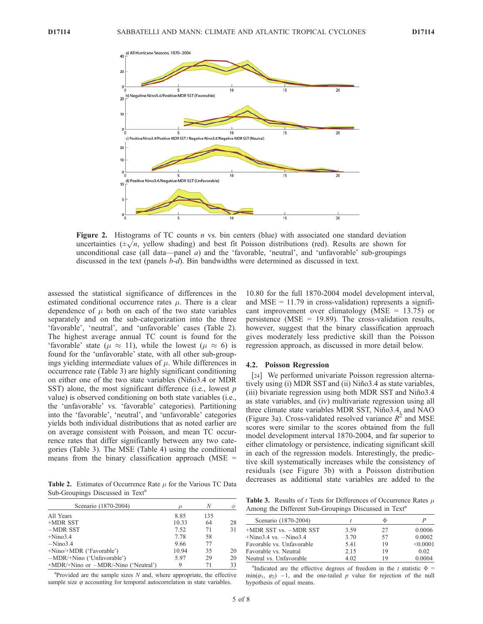

**Figure 2.** Histograms of TC counts *n* vs. bin centers (blue) with associated one standard deviation uncertainties  $(\pm \sqrt{n})$ , yellow shading) and best fit Poisson distributions (red). Results are shown for unconditional case (all data—panel  $a$ ) and the 'favorable, 'neutral', and 'unfavorable' sub-groupings discussed in the text (panels b-d). Bin bandwidths were determined as discussed in text.

assessed the statistical significance of differences in the estimated conditional occurrence rates  $\mu$ . There is a clear dependence of  $\mu$  both on each of the two state variables separately and on the sub-categorization into the three 'favorable', 'neutral', and 'unfavorable' cases (Table 2). The highest average annual TC count is found for the 'favorable' state ( $\mu \approx 11$ ), while the lowest ( $\mu \approx 6$ ) is found for the 'unfavorable' state, with all other sub-groupings yielding intermediate values of  $\mu$ . While differences in occurrence rate (Table 3) are highly significant conditioning on either one of the two state variables (Niño3.4 or MDR SST) alone, the most significant difference (i.e., lowest  $p$ value) is observed conditioning on both state variables (i.e., the 'unfavorable' vs. 'favorable' categories). Partitioning into the 'favorable', 'neutral', and 'unfavorable' categories yields both individual distributions that as noted earlier are on average consistent with Poisson, and mean TC occurrence rates that differ significantly between any two categories (Table 3). The MSE (Table 4) using the conditional means from the binary classification approach ( $MSE =$ 

Table 2. Estimates of Occurrence Rate  $\mu$  for the Various TC Data Sub-Groupings Discussed in Text<sup>a</sup>

| Scenario (1870-2004)                     | H.    | N   |    |
|------------------------------------------|-------|-----|----|
| All Years                                | 8.85  | 135 |    |
| +MDR SST                                 | 10.33 | 64  | 28 |
| $-MDR SST$                               | 7.52  | 71  | 31 |
| $+Nino3.4$                               | 7.78  | 58  |    |
| $-Nino3.4$                               | 9.66  | 77  |    |
| +Nino/+MDR ('Favorable')                 | 10.94 | 35  | 20 |
| $-MDR/+Nino$ ('Unfavorable')             | 5.97  | 29  | 20 |
| $+MDR/+Nino$ or $-MDR/-Nino$ ('Neutral') | 9     | 71  | 33 |

 $a$ Provided are the sample sizes  $N$  and, where appropriate, the effective sample size  $\varphi$  accounting for temporal autocorrelation in state variables.

10.80 for the full 1870-2004 model development interval, and  $MSE = 11.79$  in cross-validation) represents a significant improvement over climatology (MSE = 13.75) or persistence (MSE = 19.89). The cross-validation results, however, suggest that the binary classification approach gives moderately less predictive skill than the Poisson regression approach, as discussed in more detail below.

#### 4.2. Poisson Regression

[24] We performed univariate Poisson regression alternatively using (i) MDR SST and (ii) Niño3.4 as state variables, (iii) bivariate regression using both MDR SST and Nino3.4 as state variables, and (iv) multivariate regression using all three climate state variables MDR SST, Niño3.4, and NAO (Figure 3a). Cross-validated resolved variance  $R^2$  and MSE scores were similar to the scores obtained from the full model development interval 1870-2004, and far superior to either climatology or persistence, indicating significant skill in each of the regression models. Interestingly, the predictive skill systematically increases while the consistency of residuals (see Figure 3b) with a Poisson distribution decreases as additional state variables are added to the

Table 3. Results of  $t$  Tests for Differences of Occurrence Rates  $\mu$ Among the Different Sub-Groupings Discussed in Text<sup>a</sup>

| Scenario (1870-2004)      |      | Φ  |          |
|---------------------------|------|----|----------|
| +MDR SST vs. -MDR SST     | 3.59 | 27 | 0.0006   |
| $+Nino3.4$ vs. $-Nino3.4$ | 3.70 | 57 | 0.0002   |
| Favorable vs. Unfavorable | 5.41 | 19 | < 0.0001 |
| Favorable vs. Neutral     | 2.15 | 19 | 0.02     |
| Neutral vs. Unfavorable   | 4.02 | 19 | 0.0004   |

<sup>&</sup>lt;sup>a</sup>Indicated are the effective degrees of freedom in the t statistic  $\Phi$  =  $min(\varphi_1, \varphi_2)$  -1, and the one-tailed p value for rejection of the null hypothesis of equal means.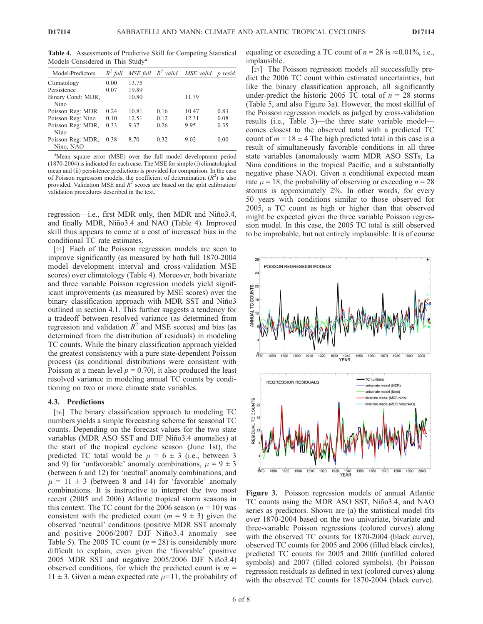Table 4. Assessments of Predictive Skill for Competing Statistical Models Considered in This Study<sup>a</sup>

| Model/Predictors  | $R^2$ full |       |      | MSE full $R^2$ valid. MSE valid | p resid. |
|-------------------|------------|-------|------|---------------------------------|----------|
| Climatology       | 0.00       | 13.75 |      |                                 |          |
| Persistence       | 0.07       | 19.89 |      |                                 |          |
| Binary Cond: MDR, |            | 10.80 |      | 11.79                           |          |
| Nino              |            |       |      |                                 |          |
| Poisson Reg: MDR  | 0.24       | 10.81 | 0.16 | 10.47                           | 0.83     |
| Poisson Reg: Nino | 0.10       | 12.51 | 0.12 | 12.31                           | 0.08     |
| Poisson Reg: MDR, | 0.33       | 9.37  | 0.26 | 9.95                            | 0.35     |
| Nino              |            |       |      |                                 |          |
| Poisson Reg: MDR, | 0.38       | 8.70  | 0.32 | 9.02                            | 0.00     |
| Nino, NAO         |            |       |      |                                 |          |

<sup>a</sup>Mean square error (MSE) over the full model development period (1870-2004) is indicated for each case. The MSE for simple (i) climatological mean and (ii) persistence predictions is provided for comparison. In the case of Poisson regression models, the coefficient of determination  $(R^2)$  is also provided. Validation MSE and  $R^2$  scores are based on the split calibration/ validation procedures described in the text.

regression—i.e., first MDR only, then MDR and Niño3.4, and finally MDR, Niño3.4 and NAO (Table 4). Improved skill thus appears to come at a cost of increased bias in the conditional TC rate estimates.

[25] Each of the Poisson regression models are seen to improve significantly (as measured by both full 1870-2004 model development interval and cross-validation MSE scores) over climatology (Table 4). Moreover, both bivariate and three variable Poisson regression models yield significant improvements (as measured by MSE scores) over the binary classification approach with MDR SST and Niño3 outlined in section 4.1. This further suggests a tendency for a tradeoff between resolved variance (as determined from regression and validation  $R^2$  and MSE scores) and bias (as determined from the distribution of residuals) in modeling TC counts. While the binary classification approach yielded the greatest consistency with a pure state-dependent Poisson process (as conditional distributions were consistent with Poisson at a mean level  $p = 0.70$ , it also produced the least resolved variance in modeling annual TC counts by conditioning on two or more climate state variables.

#### 4.3. Predictions

[26] The binary classification approach to modeling TC numbers yields a simple forecasting scheme for seasonal TC counts. Depending on the forecast values for the two state variables (MDR ASO SST and DJF Niño3.4 anomalies) at the start of the tropical cyclone season (June 1st), the predicted TC total would be  $\mu = 6 \pm 3$  (i.e., between 3 and 9) for 'unfavorable' anomaly combinations,  $\mu = 9 \pm 3$ (between 6 and 12) for 'neutral' anomaly combinations, and  $\mu = 11 \pm 3$  (between 8 and 14) for 'favorable' anomaly combinations. It is instructive to interpret the two most recent (2005 and 2006) Atlantic tropical storm seasons in this context. The TC count for the 2006 season  $(n = 10)$  was consistent with the predicted count  $(m = 9 \pm 3)$  given the observed 'neutral' conditions (positive MDR SST anomaly and positive 2006/2007 DJF Niño3.4 anomaly—see Table 5). The 2005 TC count ( $n = 28$ ) is considerably more difficult to explain, even given the 'favorable' (positive 2005 MDR SST and negative 2005/2006 DJF Niño3.4) observed conditions, for which the predicted count is  $m =$  $11 \pm 3$ . Given a mean expected rate  $\mu$ =11, the probability of equaling or exceeding a TC count of  $n = 28$  is  $\approx 0.01\%$ , i.e., implausible.

[27] The Poisson regression models all successfully predict the 2006 TC count within estimated uncertainties, but like the binary classification approach, all significantly under-predict the historic 2005 TC total of  $n = 28$  storms (Table 5, and also Figure 3a). However, the most skillful of the Poisson regression models as judged by cross-validation results (i.e., Table 3)—the three state variable model comes closest to the observed total with a predicted TC count of  $m = 18 \pm 4$  The high predicted total in this case is a result of simultaneously favorable conditions in all three state variables (anomalously warm MDR ASO SSTs, La Nina conditions in the tropical Pacific, and a substantially negative phase NAO). Given a conditional expected mean rate  $\mu$  = 18, the probability of observing or exceeding  $n = 28$ storms is approximately 2%. In other words, for every 50 years with conditions similar to those observed for 2005, a TC count as high or higher than that observed might be expected given the three variable Poisson regression model. In this case, the 2005 TC total is still observed to be improbable, but not entirely implausible. It is of course



Figure 3. Poisson regression models of annual Atlantic TC counts using the MDR ASO SST, Niño3.4, and NAO series as predictors. Shown are (a) the statistical model fits over 1870-2004 based on the two univariate, bivariate and three-variable Poisson regressions (colored curves) along with the observed TC counts for 1870-2004 (black curve), observed TC counts for 2005 and 2006 (filled black circles), predicted TC counts for 2005 and 2006 (unfilled colored symbols) and 2007 (filled colored symbols). (b) Poisson regression residuals as defined in text (colored curves) along with the observed TC counts for 1870-2004 (black curve).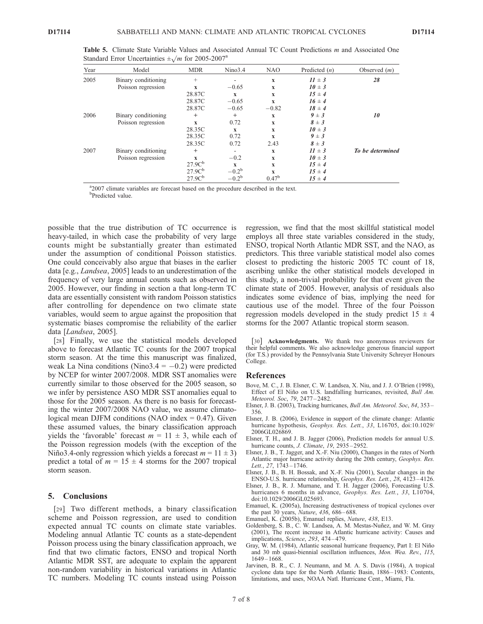| Year | Model               | <b>MDR</b>         | Nino3.4        | NAO            | Predicted $(n)$ | Observed $(m)$   |
|------|---------------------|--------------------|----------------|----------------|-----------------|------------------|
| 2005 | Binary conditioning | $^{+}$             |                | $\mathbf{x}$   | $11 \pm 3$      | 28               |
|      | Poisson regression  | $\mathbf x$        | $-0.65$        | $\mathbf{x}$   | $10 \pm 3$      |                  |
|      |                     | 28.87C             | $\mathbf x$    | X              | $15 \pm 4$      |                  |
|      |                     | 28.87C             | $-0.65$        | $\mathbf x$    | $16 \pm 4$      |                  |
|      |                     | 28.87C             | $-0.65$        | $-0.82$        | $18 \pm 4$      |                  |
| 2006 | Binary conditioning | $^{+}$             | $^{+}$         | $\mathbf x$    | $9 \pm 3$       | 10               |
|      | Poisson regression  | $\mathbf x$        | 0.72           | $\mathbf x$    | $8 \pm 3$       |                  |
|      |                     | 28.35C             | $\mathbf x$    | $\mathbf{x}$   | $10 \pm 3$      |                  |
|      |                     | 28.35C             | 0.72           | $\mathbf{x}$   | $9 \pm 3$       |                  |
|      |                     | 28.35C             | 0.72           | 2.43           | $8 \pm 3$       |                  |
| 2007 | Binary conditioning | $^{+}$             |                | $\mathbf x$    | $11 \pm 3$      | To be determined |
|      | Poisson regression  | X                  | $-0.2$         | X              | $10 \pm 3$      |                  |
|      |                     | 27.9C <sup>b</sup> | X              | X              | $15 \pm 4$      |                  |
|      |                     | 27.9C <sup>b</sup> | $-0.2^{\rm b}$ | $\mathbf x$    | $15 \pm 4$      |                  |
|      |                     | 27.9C <sup>b</sup> | $-0.2^{\rm b}$ | $0.47^{\rm b}$ | $15 \pm 4$      |                  |

Table 5. Climate State Variable Values and Associated Annual TC Count Predictions m and Associated One Standard Error Uncertainties  $\pm \sqrt{m}$  for 2005-2007<sup>a</sup>

<sup>a</sup> 2007 climate variables are forecast based on the procedure described in the text. <sup>b</sup>Predicted value.

possible that the true distribution of TC occurrence is heavy-tailed, in which case the probability of very large counts might be substantially greater than estimated under the assumption of conditional Poisson statistics. One could conceivably also argue that biases in the earlier data [e.g., Landsea, 2005] leads to an underestimation of the frequency of very large annual counts such as observed in 2005. However, our finding in section a that long-term TC data are essentially consistent with random Poisson statistics after controlling for dependence on two climate state variables, would seem to argue against the proposition that systematic biases compromise the reliability of the earlier data [Landsea, 2005].

[28] Finally, we use the statistical models developed above to forecast Atlantic TC counts for the 2007 tropical storm season. At the time this manuscript was finalized, weak La Nina conditions (Nino3.4 =  $-0.2$ ) were predicted by NCEP for winter 2007/2008. MDR SST anomalies were currently similar to those observed for the 2005 season, so we infer by persistence ASO MDR SST anomalies equal to those for the 2005 season. As there is no basis for forecasting the winter 2007/2008 NAO value, we assume climatological mean DJFM conditions (NAO index  $= 0.47$ ). Given these assumed values, the binary classification approach yields the 'favorable' forecast  $m = 11 \pm 3$ , while each of the Poisson regression models (with the exception of the Niño3.4-only regression which yields a forecast  $m = 11 \pm 3$ ) predict a total of  $m = 15 \pm 4$  storms for the 2007 tropical storm season.

# 5. Conclusions

[29] Two different methods, a binary classification scheme and Poisson regression, are used to condition expected annual TC counts on climate state variables. Modeling annual Atlantic TC counts as a state-dependent Poisson process using the binary classification approach, we find that two climatic factors, ENSO and tropical North Atlantic MDR SST, are adequate to explain the apparent non-random variability in historical variations in Atlantic TC numbers. Modeling TC counts instead using Poisson

regression, we find that the most skillful statistical model employs all three state variables considered in the study, ENSO, tropical North Atlantic MDR SST, and the NAO, as predictors. This three variable statistical model also comes closest to predicting the historic 2005 TC count of 18, ascribing unlike the other statistical models developed in this study, a non-trivial probability for that event given the climate state of 2005. However, analysis of residuals also indicates some evidence of bias, implying the need for cautious use of the model. Three of the four Poisson regression models developed in the study predict  $15 \pm 4$ storms for the 2007 Atlantic tropical storm season.

[30] **Acknowledgments.** We thank two anonymous reviewers for their helpful comments. We also acknowledge generous financial support (for T.S.) provided by the Pennsylvania State University Schreyer Honours College.

## References

- Bove, M. C., J. B. Elsner, C. W. Landsea, X. Niu, and J. J. O'Brien (1998), Effect of El Niño on U.S. landfalling hurricanes, revisited, *Bull Am*. Meteorol. Soc, 79, 2477 – 2482.
- Elsner, J. B. (2003), Tracking hurricanes, Bull Am. Meteorol. Soc, 84, 353 356.
- Elsner, J. B. (2006), Evidence in support of the climate change: Atlantic hurricane hypothesis, Geophys. Res. Lett., 33, L16705, doi:10.1029/ 2006GL026869.
- Elsner, T. H., and J. B. Jagger (2006), Prediction models for annual U.S. hurricane counts, *J. Climate*, 19, 2935-2952.
- Elsner, J. B., T. Jagger, and X.-F. Niu (2000), Changes in the rates of North Atlantic major hurricane activity during the 20th century, Geophys. Res. Lett., 27, 1743-1746.
- Elsner, J. B., B. H. Bossak, and X.-F. Niu (2001), Secular changes in the ENSO-U.S. hurricane relationship, Geophys. Res. Lett., 28, 4123 – 4126.
- Elsner, J. B., R. J. Murnane, and T. H. Jagger (2006), Forecasting U.S. hurricanes 6 months in advance, Geophys. Res. Lett., 33, L10704, doi:10.1029/2006GL025693.
- Emanuel, K. (2005a), Increasing destructiveness of tropical cyclones over the past 30 years, Nature, 436, 686 – 688.
- Emanuel, K. (2005b), Emanuel replies, Nature, 438, E13.
- Goldenberg, S. B., C. W. Landsea, A. M. Mestas-Nuñez, and W. M. Gray (2001), The recent increase in Atlantic hurricane activity: Causes and implications, Science, 293, 474 – 479.
- Gray, W. M. (1984), Atlantic seasonal hurricane frequency, Part I: El Niño and 30 mb quasi-biennial oscillation influences, Mon. Wea. Rev., 115, 1649 – 1668.
- Jarvinen, B. R., C. J. Neumann, and M. A. S. Davis (1984), A tropical cyclone data tape for the North Atlantic Basin, 1886 – 1983: Contents, limitations, and uses, NOAA Natl. Hurricane Cent., Miami, Fla.